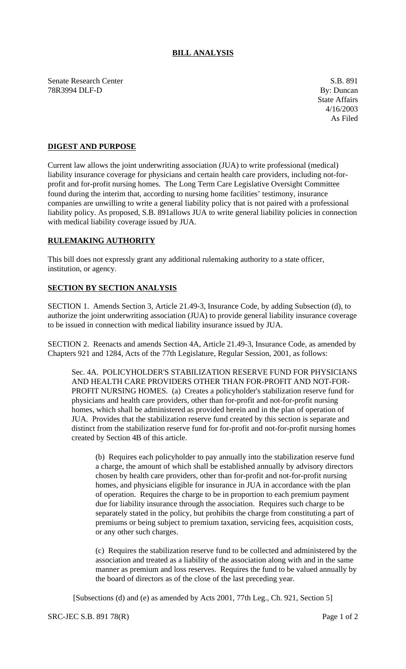## **BILL ANALYSIS**

Senate Research Center S.B. 891 78R3994 DLF-D By: Duncan

State Affairs 4/16/2003 As Filed

## **DIGEST AND PURPOSE**

Current law allows the joint underwriting association (JUA) to write professional (medical) liability insurance coverage for physicians and certain health care providers, including not-forprofit and for-profit nursing homes. The Long Term Care Legislative Oversight Committee found during the interim that, according to nursing home facilities' testimony, insurance companies are unwilling to write a general liability policy that is not paired with a professional liability policy. As proposed, S.B. 891allows JUA to write general liability policies in connection with medical liability coverage issued by JUA.

## **RULEMAKING AUTHORITY**

This bill does not expressly grant any additional rulemaking authority to a state officer, institution, or agency.

## **SECTION BY SECTION ANALYSIS**

SECTION 1. Amends Section 3, Article 21.49-3, Insurance Code, by adding Subsection (d), to authorize the joint underwriting association (JUA) to provide general liability insurance coverage to be issued in connection with medical liability insurance issued by JUA.

SECTION 2. Reenacts and amends Section 4A, Article 21.49-3, Insurance Code, as amended by Chapters 921 and 1284, Acts of the 77th Legislature, Regular Session, 2001, as follows:

Sec. 4A. POLICYHOLDER'S STABILIZATION RESERVE FUND FOR PHYSICIANS AND HEALTH CARE PROVIDERS OTHER THAN FOR-PROFIT AND NOT-FOR-PROFIT NURSING HOMES. (a) Creates a policyholder's stabilization reserve fund for physicians and health care providers, other than for-profit and not-for-profit nursing homes, which shall be administered as provided herein and in the plan of operation of JUA. Provides that the stabilization reserve fund created by this section is separate and distinct from the stabilization reserve fund for for-profit and not-for-profit nursing homes created by Section 4B of this article.

(b) Requires each policyholder to pay annually into the stabilization reserve fund a charge, the amount of which shall be established annually by advisory directors chosen by health care providers, other than for-profit and not-for-profit nursing homes, and physicians eligible for insurance in JUA in accordance with the plan of operation. Requires the charge to be in proportion to each premium payment due for liability insurance through the association. Requires such charge to be separately stated in the policy, but prohibits the charge from constituting a part of premiums or being subject to premium taxation, servicing fees, acquisition costs, or any other such charges.

(c) Requires the stabilization reserve fund to be collected and administered by the association and treated as a liability of the association along with and in the same manner as premium and loss reserves. Requires the fund to be valued annually by the board of directors as of the close of the last preceding year.

[Subsections (d) and (e) as amended by Acts 2001, 77th Leg., Ch. 921, Section 5]